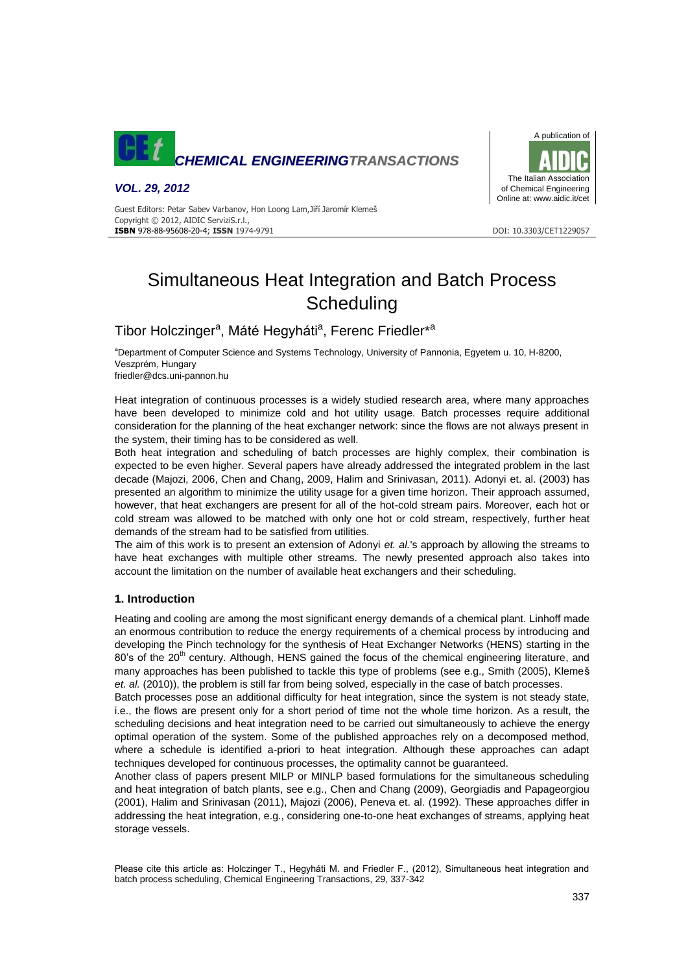

# *VOL. 29, 2012*

A publication of The Italian Association of Chemical Engineering Online at: www.aidic.it/cet

Guest Editors: Petar Sabev Varbanov, Hon Loong Lam,Jiří Jaromír Klemeš Copyright © 2012, AIDIC ServiziS.r.l., **ISBN** 978-88-95608-20-4; **ISSN** 1974-9791 **DOI: 10.3303/CET1229057** DOI: 10.3303/CET1229057

# Simultaneous Heat Integration and Batch Process **Scheduling**

Tibor Holczinger<sup>a</sup>, Máté Hegyháti<sup>a</sup>, Ferenc Friedler<sup>\*a</sup>

aDepartment of Computer Science and Systems Technology, University of Pannonia, Egyetem u. 10, H-8200, Veszprém, Hungary

friedler@dcs.uni-pannon.hu

Heat integration of continuous processes is a widely studied research area, where many approaches have been developed to minimize cold and hot utility usage. Batch processes require additional consideration for the planning of the heat exchanger network: since the flows are not always present in the system, their timing has to be considered as well.

Both heat integration and scheduling of batch processes are highly complex, their combination is expected to be even higher. Several papers have already addressed the integrated problem in the last decade (Majozi, 2006, Chen and Chang, 2009, Halim and Srinivasan, 2011). Adonyi et. al. (2003) has presented an algorithm to minimize the utility usage for a given time horizon. Their approach assumed, however, that heat exchangers are present for all of the hot-cold stream pairs. Moreover, each hot or cold stream was allowed to be matched with only one hot or cold stream, respectively, further heat demands of the stream had to be satisfied from utilities.

The aim of this work is to present an extension of Adonyi *et. al.*'s approach by allowing the streams to have heat exchanges with multiple other streams. The newly presented approach also takes into account the limitation on the number of available heat exchangers and their scheduling.

# **1. Introduction**

Heating and cooling are among the most significant energy demands of a chemical plant. Linhoff made an enormous contribution to reduce the energy requirements of a chemical process by introducing and developing the Pinch technology for the synthesis of Heat Exchanger Networks (HENS) starting in the 80's of the 20<sup>th</sup> century. Although, HENS gained the focus of the chemical engineering literature, and many approaches has been published to tackle this type of problems (see e.g., Smith (2005), Klemeš *et. al.* (2010)), the problem is still far from being solved, especially in the case of batch processes.

Batch processes pose an additional difficulty for heat integration, since the system is not steady state, i.e., the flows are present only for a short period of time not the whole time horizon. As a result, the scheduling decisions and heat integration need to be carried out simultaneously to achieve the energy optimal operation of the system. Some of the published approaches rely on a decomposed method, where a schedule is identified a-priori to heat integration. Although these approaches can adapt techniques developed for continuous processes, the optimality cannot be guaranteed.

Another class of papers present MILP or MINLP based formulations for the simultaneous scheduling and heat integration of batch plants, see e.g., Chen and Chang (2009), Georgiadis and Papageorgiou (2001), Halim and Srinivasan (2011), Majozi (2006), Peneva et. al. (1992). These approaches differ in addressing the heat integration, e.g., considering one-to-one heat exchanges of streams, applying heat storage vessels.

Please cite this article as: Holczinger T., Hegyháti M. and Friedler F., (2012), Simultaneous heat integration and batch process scheduling, Chemical Engineering Transactions, 29, 337-342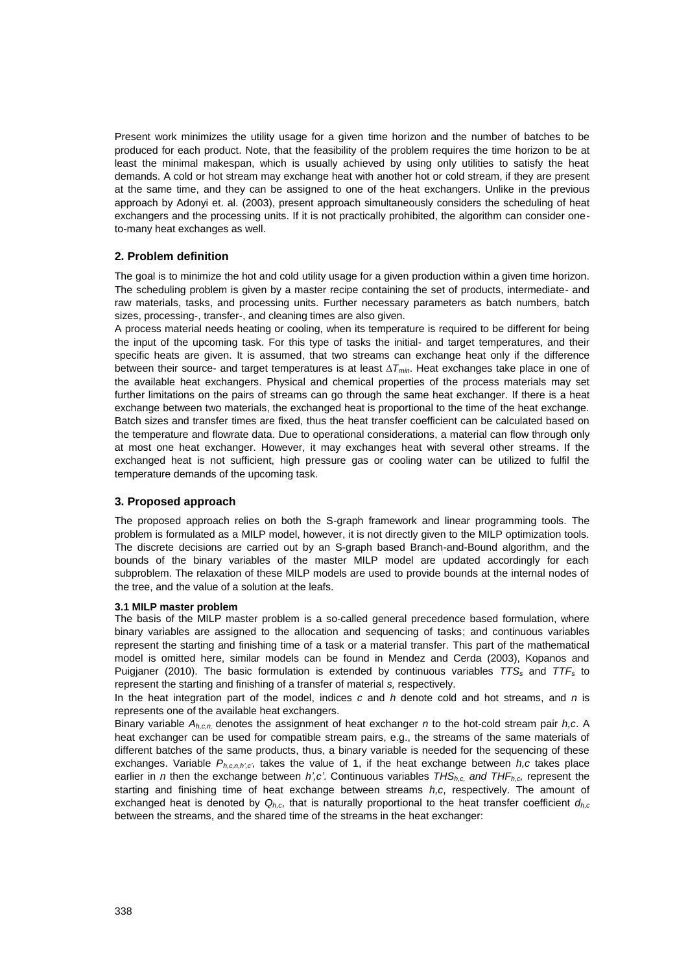Present work minimizes the utility usage for a given time horizon and the number of batches to be produced for each product. Note, that the feasibility of the problem requires the time horizon to be at least the minimal makespan, which is usually achieved by using only utilities to satisfy the heat demands. A cold or hot stream may exchange heat with another hot or cold stream, if they are present at the same time, and they can be assigned to one of the heat exchangers. Unlike in the previous approach by Adonyi et. al. (2003), present approach simultaneously considers the scheduling of heat exchangers and the processing units. If it is not practically prohibited, the algorithm can consider oneto-many heat exchanges as well.

# **2. Problem definition**

The goal is to minimize the hot and cold utility usage for a given production within a given time horizon. The scheduling problem is given by a master recipe containing the set of products, intermediate- and raw materials, tasks, and processing units. Further necessary parameters as batch numbers, batch sizes, processing-, transfer-, and cleaning times are also given.

A process material needs heating or cooling, when its temperature is required to be different for being the input of the upcoming task. For this type of tasks the initial- and target temperatures, and their specific heats are given. It is assumed, that two streams can exchange heat only if the difference between their source- and target temperatures is at least *∆Tmin*. Heat exchanges take place in one of the available heat exchangers. Physical and chemical properties of the process materials may set further limitations on the pairs of streams can go through the same heat exchanger. If there is a heat exchange between two materials, the exchanged heat is proportional to the time of the heat exchange. Batch sizes and transfer times are fixed, thus the heat transfer coefficient can be calculated based on the temperature and flowrate data. Due to operational considerations, a material can flow through only at most one heat exchanger. However, it may exchanges heat with several other streams. If the exchanged heat is not sufficient, high pressure gas or cooling water can be utilized to fulfil the temperature demands of the upcoming task.

# **3. Proposed approach**

The proposed approach relies on both the S-graph framework and linear programming tools. The problem is formulated as a MILP model, however, it is not directly given to the MILP optimization tools. The discrete decisions are carried out by an S-graph based Branch-and-Bound algorithm, and the bounds of the binary variables of the master MILP model are updated accordingly for each subproblem. The relaxation of these MILP models are used to provide bounds at the internal nodes of the tree, and the value of a solution at the leafs.

#### **3.1 MILP master problem**

The basis of the MILP master problem is a so-called general precedence based formulation, where binary variables are assigned to the allocation and sequencing of tasks; and continuous variables represent the starting and finishing time of a task or a material transfer. This part of the mathematical model is omitted here, similar models can be found in Mendez and Cerda (2003), Kopanos and Puigjaner (2010). The basic formulation is extended by continuous variables *TTS<sup>s</sup>* and *TTF<sup>s</sup>* to represent the starting and finishing of a transfer of material *s,* respectively.

In the heat integration part of the model, indices *c* and *h* denote cold and hot streams, and *n* is represents one of the available heat exchangers.

Binary variable *Ah,c,n,* denotes the assignment of heat exchanger *n* to the hot-cold stream pair *h,c*. A heat exchanger can be used for compatible stream pairs, e.g., the streams of the same materials of different batches of the same products, thus, a binary variable is needed for the sequencing of these exchanges. Variable *Ph,c,n,h',c'*, takes the value of 1, if the heat exchange between *h,c* takes place earlier in *n* then the exchange between *h',c'*. Continuous variables *THSh,c, and THFh,c,* represent the starting and finishing time of heat exchange between streams *h,c*, respectively. The amount of exchanged heat is denoted by  $Q_{h,c}$ , that is naturally proportional to the heat transfer coefficient  $d_{h,c}$ between the streams, and the shared time of the streams in the heat exchanger: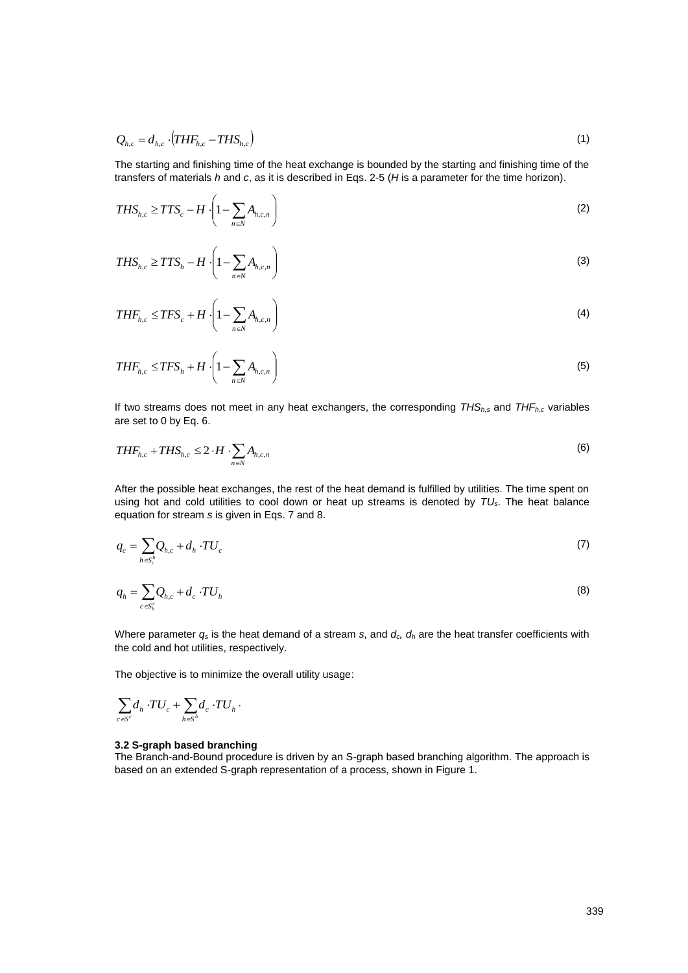$$
Q_{h,c} = d_{h,c} \cdot (THF_{h,c} - THS_{h,c}) \tag{1}
$$

The starting and finishing time of the heat exchange is bounded by the starting and finishing time of the transfers of materials *h* and *c*, as it is described in Eqs. 2-5 (*H* is a parameter for the time horizon).

$$
THS_{h,c} \geq TTS_c - H\left(1 - \sum_{n\in\mathbb{N}} A_{h,c,n}\right) \tag{2}
$$

$$
Q_{b,c} = d_{b,c} \cdot (THF_{b,c} - THS_{b,c})
$$
\n(1)  
\nThe starting and finishing time of the heat exchange is bounded by the starting and finishing time of the  
\ntansets or materials *h* and *c*, as it is described in Eqs. 2-5 (*H* is a parameter for the time horizon).  
\n
$$
THS_{b,c} \ge TTS_c + H \cdot \left(1 - \sum_{n \in N} A_{b,c,n}\right)
$$
\n(2)  
\n
$$
THF_{b,c} \le TTS_c + H \cdot \left(1 - \sum_{n \in N} A_{b,c,n}\right)
$$
\n(3)  
\n
$$
THF_{b,c} \le TFS_c + H \cdot \left(1 - \sum_{n \in N} A_{b,c,n}\right)
$$
\n(4)  
\n
$$
THF_{b,c} \le TFS_c + H \cdot \left(1 - \sum_{n \in N} A_{b,c,n}\right)
$$
\n(5)  
\n
$$
THF_{b,c} \le TFS_c + H \cdot \left(1 - \sum_{n \in N} A_{b,c,n}\right)
$$
\n(6)  
\nIf two streams does not meet in any heat exchanges, the corresponding *THS<sub>h,s</sub>* and *THF<sub>h,c</sub>* variables  
\nare set to 0 by Eq. 6.  
\n
$$
THF_{b,c} + THS_{b,c} \le 2 \cdot H \cdot \sum_{n \in N} A_{b,c,n}
$$
\n(6)  
\n
$$
HSE_c + HES_{b,c} \le 2 \cdot H \cdot \sum_{n \in N} A_{b,c,n}
$$
\n(7)  
\n
$$
HSE_c + \sum_{n \in N} A_n \cdot TU_c
$$
\n(8)  
\n
$$
q_c = \sum_{n \in N} Q_{b,c} + d_c \cdot TU_b
$$
\n(9)  
\n
$$
q_b = \sum_{n \in N} Q_{b,c} + d_c \cdot TU_b
$$
\n(10)  
\n
$$
q_b = \sum_{n \in N} Q_{b,c} + d_c \cdot TU_b
$$
\n(2)  
\n
$$
\sum_{n \in N} d_n \cdot TU_c + \sum_{n \in N} d_n \cdot TU_c
$$
\n(3)  
\n
$$
3.2 \text{ S-graph based branching}
$$
\nThe object is to minimize the overall utility usage:  
\n
$$
\sum_{n
$$

$$
THF_{h,c} \le TFS_c + H \cdot \left(1 - \sum_{n \in N} A_{h,c,n}\right)
$$
\n<sup>(4)</sup>

$$
THF_{h,c} \le TFS_h + H \cdot \left(1 - \sum_{n \in N} A_{h,c,n}\right) \tag{5}
$$

If two streams does not meet in any heat exchangers, the corresponding *THSh,s* and *THFh,c* variables are set to 0 by Eq. 6.

$$
THF_{h,c} + THS_{h,c} \leq 2 \cdot H \cdot \sum_{n \in \mathbb{N}} A_{h,c,n} \tag{6}
$$

After the possible heat exchanges, the rest of the heat demand is fulfilled by utilities. The time spent on using hot and cold utilities to cool down or heat up streams is denoted by *TUs*. The heat balance equation for stream *s* is given in Eqs. 7 and 8.

$$
q_c = \sum_{h \in S_c^h} Q_{h,c} + d_h \cdot TU_c \tag{7}
$$

$$
q_h = \sum_{c \in S_h^c} Q_{h,c} + d_c \cdot TU_h \tag{8}
$$

Where parameter *q<sup>s</sup>* is the heat demand of a stream *s*, and *dc, d<sup>h</sup>* are the heat transfer coefficients with the cold and hot utilities, respectively.

The objective is to minimize the overall utility usage:

$$
\sum_{c\in\mathcal{S}^c} \hskip -3pt d_h\cdot T\hskip -3pt U_c+\sum_{h\in\mathcal{S}^h} \hskip -3pt d_c\cdot T\hskip -3pt U_h\,\cdot
$$

# **3.2 S-graph based branching**

The Branch-and-Bound procedure is driven by an S-graph based branching algorithm. The approach is based on an extended S-graph representation of a process, shown in Figure 1.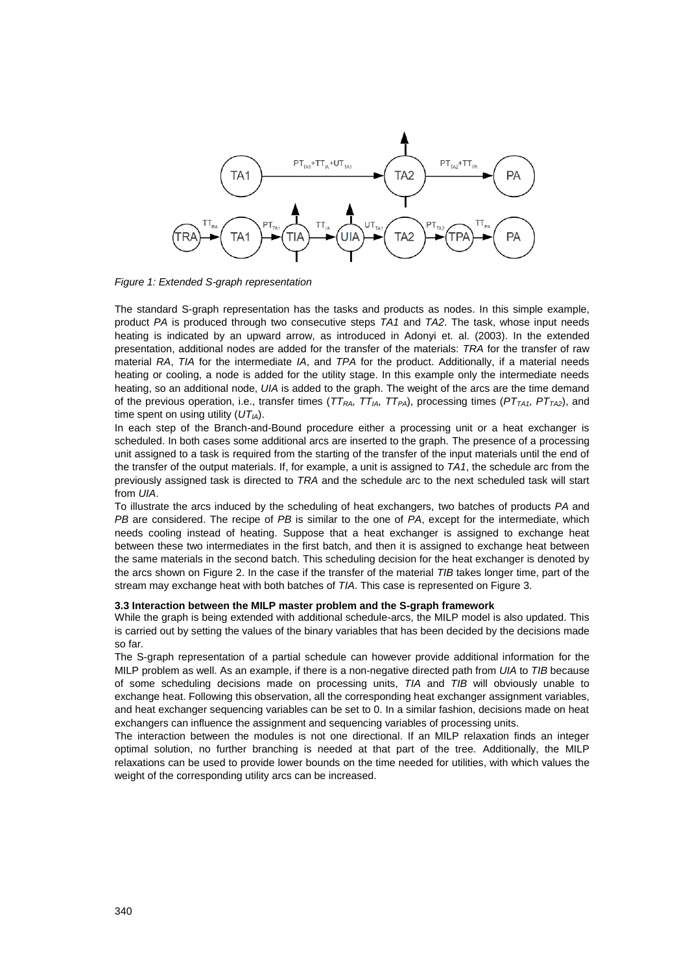

*Figure 1: Extended S-graph representation*

The standard S-graph representation has the tasks and products as nodes. In this simple example, product *PA* is produced through two consecutive steps *TA1* and *TA2*. The task, whose input needs heating is indicated by an upward arrow, as introduced in Adonyi et. al. (2003). In the extended presentation, additional nodes are added for the transfer of the materials: *TRA* for the transfer of raw material *RA*, *TIA* for the intermediate *IA*, and *TPA* for the product. Additionally, if a material needs heating or cooling, a node is added for the utility stage. In this example only the intermediate needs heating, so an additional node, *UIA* is added to the graph. The weight of the arcs are the time demand of the previous operation, i.e., transfer times (*TTRA, TTIA, TTPA*), processing times (*PTTA1, PTTA2*), and time spent on using utility (*UTIA*).

In each step of the Branch-and-Bound procedure either a processing unit or a heat exchanger is scheduled. In both cases some additional arcs are inserted to the graph. The presence of a processing unit assigned to a task is required from the starting of the transfer of the input materials until the end of the transfer of the output materials. If, for example, a unit is assigned to *TA1*, the schedule arc from the previously assigned task is directed to *TRA* and the schedule arc to the next scheduled task will start from *UIA*.

To illustrate the arcs induced by the scheduling of heat exchangers, two batches of products *PA* and *PB* are considered. The recipe of *PB* is similar to the one of *PA*, except for the intermediate, which needs cooling instead of heating. Suppose that a heat exchanger is assigned to exchange heat between these two intermediates in the first batch, and then it is assigned to exchange heat between the same materials in the second batch. This scheduling decision for the heat exchanger is denoted by the arcs shown on Figure 2. In the case if the transfer of the material *TIB* takes longer time, part of the stream may exchange heat with both batches of *TIA*. This case is represented on Figure 3.

#### **3.3 Interaction between the MILP master problem and the S-graph framework**

While the graph is being extended with additional schedule-arcs, the MILP model is also updated. This is carried out by setting the values of the binary variables that has been decided by the decisions made so far.

The S-graph representation of a partial schedule can however provide additional information for the MILP problem as well. As an example, if there is a non-negative directed path from *UIA* to *TIB* because of some scheduling decisions made on processing units, *TIA* and *TIB* will obviously unable to exchange heat. Following this observation, all the corresponding heat exchanger assignment variables, and heat exchanger sequencing variables can be set to 0. In a similar fashion, decisions made on heat exchangers can influence the assignment and sequencing variables of processing units.

The interaction between the modules is not one directional. If an MILP relaxation finds an integer optimal solution, no further branching is needed at that part of the tree. Additionally, the MILP relaxations can be used to provide lower bounds on the time needed for utilities, with which values the weight of the corresponding utility arcs can be increased.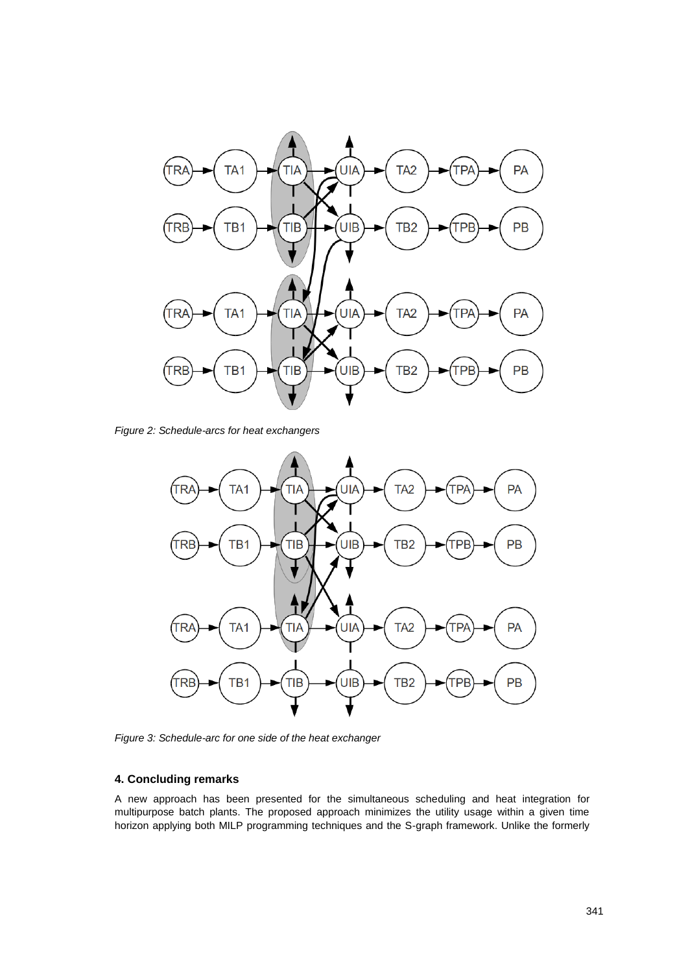

*Figure 2: Schedule-arcs for heat exchangers*



*Figure 3: Schedule-arc for one side of the heat exchanger*

# **4. Concluding remarks**

A new approach has been presented for the simultaneous scheduling and heat integration for multipurpose batch plants. The proposed approach minimizes the utility usage within a given time horizon applying both MILP programming techniques and the S-graph framework. Unlike the formerly